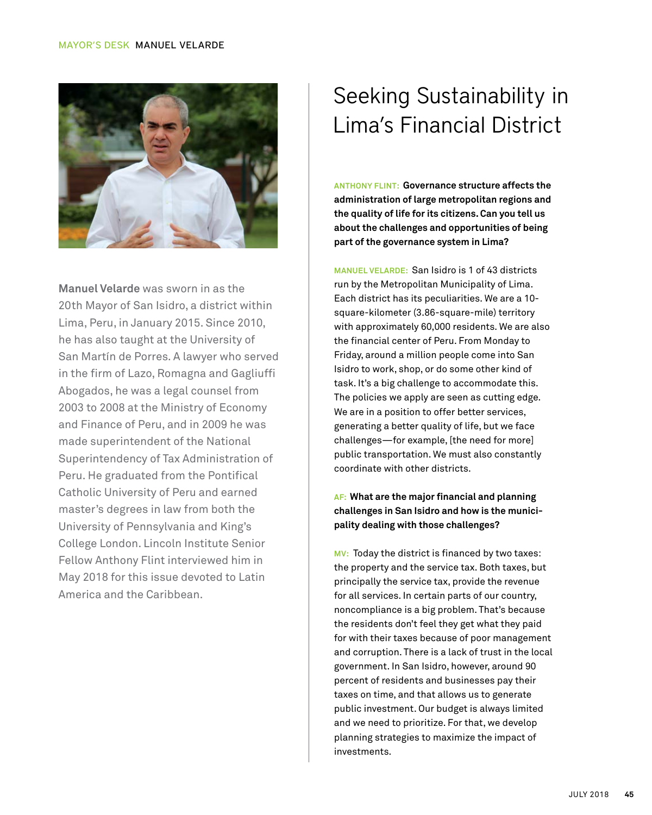

**Manuel Velarde** was sworn in as the 20th Mayor of San Isidro, a district within Lima, Peru, in January 2015. Since 2010, he has also taught at the University of San Martín de Porres. A lawyer who served in the firm of Lazo, Romagna and Gagliuffi Abogados, he was a legal counsel from 2003 to 2008 at the Ministry of Economy and Finance of Peru, and in 2009 he was made superintendent of the National Superintendency of Tax Administration of Peru. He graduated from the Pontifical Catholic University of Peru and earned master's degrees in law from both the University of Pennsylvania and King's College London. Lincoln Institute Senior Fellow Anthony Flint interviewed him in May 2018 for this issue devoted to Latin America and the Caribbean.

## Seeking Sustainability in Lima's Financial District

**ANTHONY FLINT: Governance structure affects the administration of large metropolitan regions and the quality of life for its citizens. Can you tell us about the challenges and opportunities of being part of the governance system in Lima?**

**MANUEL VELARDE:** San Isidro is 1 of 43 districts run by the Metropolitan Municipality of Lima. Each district has its peculiarities. We are a 10 square-kilometer (3.86-square-mile) territory with approximately 60,000 residents. We are also the financial center of Peru. From Monday to Friday, around a million people come into San Isidro to work, shop, or do some other kind of task. It's a big challenge to accommodate this. The policies we apply are seen as cutting edge. We are in a position to offer better services, generating a better quality of life, but we face challenges—for example, [the need for more] public transportation. We must also constantly coordinate with other districts.

## **AF: What are the major financial and planning challenges in San Isidro and how is the municipality dealing with those challenges?**

**MV:** Today the district is financed by two taxes: the property and the service tax. Both taxes, but principally the service tax, provide the revenue for all services. In certain parts of our country, noncompliance is a big problem. That's because the residents don't feel they get what they paid for with their taxes because of poor management and corruption. There is a lack of trust in the local government. In San Isidro, however, around 90 percent of residents and businesses pay their taxes on time, and that allows us to generate public investment. Our budget is always limited and we need to prioritize. For that, we develop planning strategies to maximize the impact of investments.